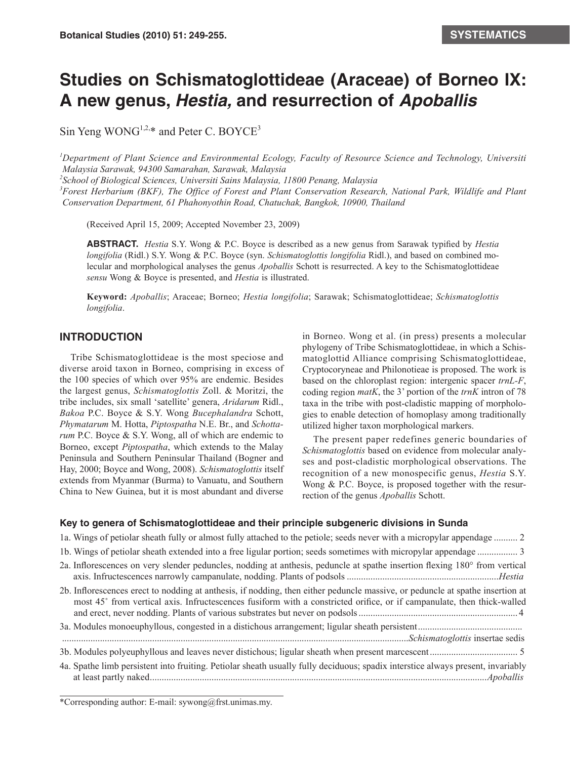# **Studies on Schismatoglottideae (Araceae) of Borneo IX: A new genus,** *Hestia,* **and resurrection of** *Apoballis*

Sin Yeng WONG<sup>1,2,\*</sup> and Peter C. BOYCE<sup>3</sup>

<sup>1</sup>Department of Plant Science and Environmental Ecology, Faculty of Resource Science and Technology, Universiti *Malaysia Sarawak, 94300 Samarahan, Sarawak, Malaysia* 

*2 School of Biological Sciences, Universiti Sains Malaysia, 11800 Penang, Malaysia*

<sup>3</sup> Forest Herbarium (BKF), The Office of Forest and Plant Conservation Research, National Park, Wildlife and Plant *Conservation Department, 61 Phahonyothin Road, Chatuchak, Bangkok, 10900, Thailand*

(Received April 15, 2009; Accepted November 23, 2009)

**ABSTRACT.** *Hestia* S.Y. Wong & P.C. Boyce is described as a new genus from Sarawak typified by *Hestia longifolia* (Ridl.) S.Y. Wong & P.C. Boyce (syn. *Schismatoglottis longifolia* Ridl.), and based on combined molecular and morphological analyses the genus *Apoballis* Schott is resurrected. A key to the Schismatoglottideae *sensu* Wong & Boyce is presented, and *Hestia* is illustrated.

**Keyword:** *Apoballis*; Araceae; Borneo; *Hestia longifolia*; Sarawak; Schismatoglottideae; *Schismatoglottis longifolia*.

## **INTRODUCTION**

Tribe Schismatoglottideae is the most speciose and diverse aroid taxon in Borneo, comprising in excess of the 100 species of which over 95% are endemic. Besides the largest genus, *Schismatoglottis* Zoll. & Moritzi, the tribe includes, six small 'satellite' genera, *Aridarum* Ridl., *Bakoa* P.C. Boyce & S.Y. Wong *Bucephalandra* Schott, *Phymatarum* M. Hotta, *Piptospatha* N.E. Br., and *Schottarum* P.C. Boyce & S.Y. Wong, all of which are endemic to Borneo, except *Piptospatha*, which extends to the Malay Peninsula and Southern Peninsular Thailand (Bogner and Hay, 2000; Boyce and Wong, 2008). *Schismatoglottis* itself extends from Myanmar (Burma) to Vanuatu, and Southern China to New Guinea, but it is most abundant and diverse in Borneo. Wong et al. (in press) presents a molecular phylogeny of Tribe Schismatoglottideae, in which a Schismatoglottid Alliance comprising Schismatoglottideae, Cryptocoryneae and Philonotieae is proposed. The work is based on the chloroplast region: intergenic spacer *trnL-F*, coding region *matK*, the 3' portion of the *trnK* intron of 78 taxa in the tribe with post-cladistic mapping of morphologies to enable detection of homoplasy among traditionally utilized higher taxon morphological markers.

The present paper redefines generic boundaries of *Schismatoglottis* based on evidence from molecular analyses and post-cladistic morphological observations. The recognition of a new monospecific genus, *Hestia* S.Y. Wong & P.C. Boyce, is proposed together with the resurrection of the genus *Apoballis* Schott.

### **Key to genera of Schismatoglottideae and their principle subgeneric divisions in Sunda**

| 1a. Wings of petiolar sheath fully or almost fully attached to the petiole; seeds never with a micropylar appendage  2                                                                                                                                  |
|---------------------------------------------------------------------------------------------------------------------------------------------------------------------------------------------------------------------------------------------------------|
|                                                                                                                                                                                                                                                         |
| 2a. Inflorescences on very slender peduncles, nodding at anthesis, peduncle at spathe insertion flexing 180° from vertical                                                                                                                              |
| 2b. Inflorescences erect to nodding at anthesis, if nodding, then either peduncle massive, or peduncle at spathe insertion at<br>most 45° from vertical axis. Infructescences fusiform with a constricted orifice, or if campanulate, then thick-walled |
|                                                                                                                                                                                                                                                         |
|                                                                                                                                                                                                                                                         |
|                                                                                                                                                                                                                                                         |
| 4a. Spathe limb persistent into fruiting. Petiolar sheath usually fully deciduous; spadix interstice always present, invariably                                                                                                                         |

\*Corresponding author: E-mail: sywong@frst.unimas.my.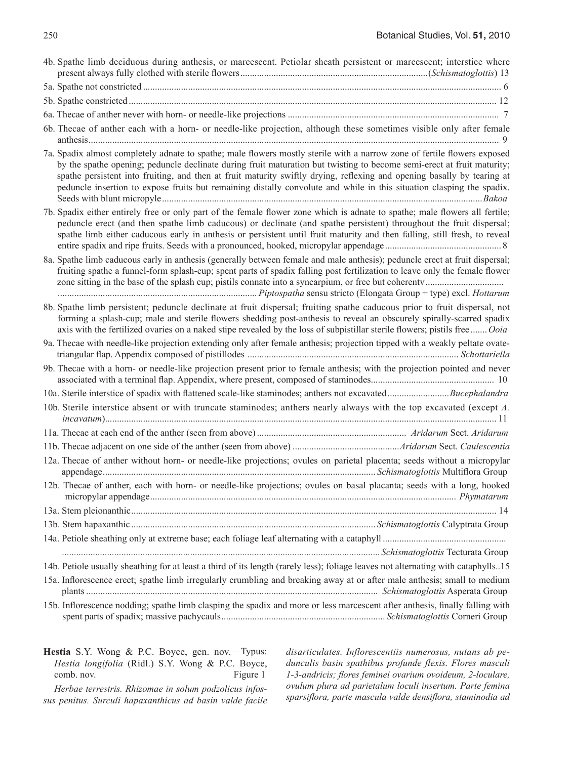| 4b. Spathe limb deciduous during anthesis, or marcescent. Petiolar sheath persistent or marcescent; interstice where                                                                                                                                                                                                                                                                                                                                                                                   |
|--------------------------------------------------------------------------------------------------------------------------------------------------------------------------------------------------------------------------------------------------------------------------------------------------------------------------------------------------------------------------------------------------------------------------------------------------------------------------------------------------------|
|                                                                                                                                                                                                                                                                                                                                                                                                                                                                                                        |
|                                                                                                                                                                                                                                                                                                                                                                                                                                                                                                        |
|                                                                                                                                                                                                                                                                                                                                                                                                                                                                                                        |
| 6b. Thecae of anther each with a horn- or needle-like projection, although these sometimes visible only after female                                                                                                                                                                                                                                                                                                                                                                                   |
| 7a. Spadix almost completely adnate to spathe; male flowers mostly sterile with a narrow zone of fertile flowers exposed<br>by the spathe opening; peduncle declinate during fruit maturation but twisting to become semi-erect at fruit maturity;<br>spathe persistent into fruiting, and then at fruit maturity swiftly drying, reflexing and opening basally by tearing at<br>peduncle insertion to expose fruits but remaining distally convolute and while in this situation clasping the spadix. |
| 7b. Spadix either entirely free or only part of the female flower zone which is adnate to spathe; male flowers all fertile;<br>peduncle erect (and then spathe limb caducous) or declinate (and spathe persistent) throughout the fruit dispersal;<br>spathe limb either caducous early in anthesis or persistent until fruit maturity and then falling, still fresh, to reveal                                                                                                                        |
| 8a. Spathe limb caducous early in anthesis (generally between female and male anthesis); peduncle erect at fruit dispersal;<br>fruiting spathe a funnel-form splash-cup; spent parts of spadix falling post fertilization to leave only the female flower                                                                                                                                                                                                                                              |
| 8b. Spathe limb persistent; peduncle declinate at fruit dispersal; fruiting spathe caducous prior to fruit dispersal, not<br>forming a splash-cup; male and sterile flowers shedding post-anthesis to reveal an obscurely spirally-scarred spadix<br>axis with the fertilized ovaries on a naked stipe revealed by the loss of subpistillar sterile flowers; pistils free  Ooia                                                                                                                        |
| 9a. Thecae with needle-like projection extending only after female anthesis; projection tipped with a weakly peltate ovate-                                                                                                                                                                                                                                                                                                                                                                            |
| 9b. Thecae with a horn- or needle-like projection present prior to female anthesis; with the projection pointed and never                                                                                                                                                                                                                                                                                                                                                                              |
|                                                                                                                                                                                                                                                                                                                                                                                                                                                                                                        |
| 10b. Sterile interstice absent or with truncate staminodes; anthers nearly always with the top excavated (except A.                                                                                                                                                                                                                                                                                                                                                                                    |
|                                                                                                                                                                                                                                                                                                                                                                                                                                                                                                        |
|                                                                                                                                                                                                                                                                                                                                                                                                                                                                                                        |
| 12a. Thecae of anther without horn- or needle-like projections; ovules on parietal placenta; seeds without a micropylar                                                                                                                                                                                                                                                                                                                                                                                |
| 12b. Thecae of anther, each with horn- or needle-like projections; ovules on basal placanta; seeds with a long, hooked                                                                                                                                                                                                                                                                                                                                                                                 |
|                                                                                                                                                                                                                                                                                                                                                                                                                                                                                                        |
|                                                                                                                                                                                                                                                                                                                                                                                                                                                                                                        |
|                                                                                                                                                                                                                                                                                                                                                                                                                                                                                                        |
| 14b. Petiole usually sheathing for at least a third of its length (rarely less); foliage leaves not alternating with cataphylls15                                                                                                                                                                                                                                                                                                                                                                      |
| 15a. Inflorescence erect; spathe limb irregularly crumbling and breaking away at or after male anthesis; small to medium                                                                                                                                                                                                                                                                                                                                                                               |
| 15b. Inflorescence nodding; spathe limb clasping the spadix and more or less marcescent after anthesis, finally falling with                                                                                                                                                                                                                                                                                                                                                                           |

**Hestia** S.Y. Wong & P.C. Boyce, gen. nov.—Typus: *Hestia longifolia* (Ridl.) S.Y. Wong & P.C. Boyce, comb. nov. Figure 1

*Herbae terrestris. Rhizomae in solum podzolicus infossus penitus. Surculi hapaxanthicus ad basin valde facile*  *disarticulates. Inflorescentiis numerosus, nutans ab pedunculis basin spathibus profunde flexis. Flores masculi 1-3-andricis; flores feminei ovarium ovoideum, 2-loculare, ovulum plura ad parietalum loculi insertum. Parte femina sparsiflora, parte mascula valde densiflora, staminodia ad*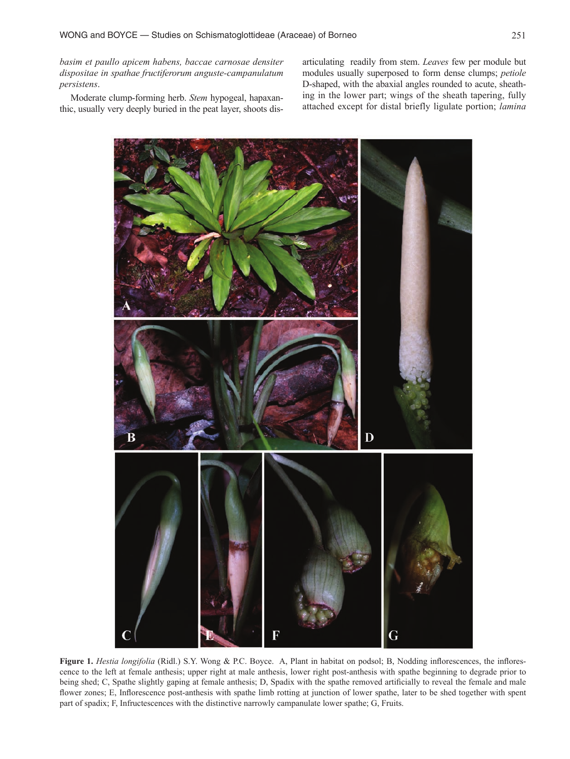*basim et paullo apicem habens, baccae carnosae densiter dispositae in spathae fructiferorum anguste-campanulatum persistens*.

Moderate clump-forming herb. *Stem* hypogeal, hapaxanthic, usually very deeply buried in the peat layer, shoots disarticulating readily from stem. *Leaves* few per module but modules usually superposed to form dense clumps; *petiole* D-shaped, with the abaxial angles rounded to acute, sheathing in the lower part; wings of the sheath tapering, fully attached except for distal briefly ligulate portion; *lamina*



**Figure 1.** *Hestia longifolia* (Ridl.) S.Y. Wong & P.C. Boyce. A, Plant in habitat on podsol; B, Nodding inflorescences, the inflorescence to the left at female anthesis; upper right at male anthesis, lower right post-anthesis with spathe beginning to degrade prior to being shed; C, Spathe slightly gaping at female anthesis; D, Spadix with the spathe removed artificially to reveal the female and male flower zones; E, Inflorescence post-anthesis with spathe limb rotting at junction of lower spathe, later to be shed together with spent part of spadix; F, Infructescences with the distinctive narrowly campanulate lower spathe; G, Fruits.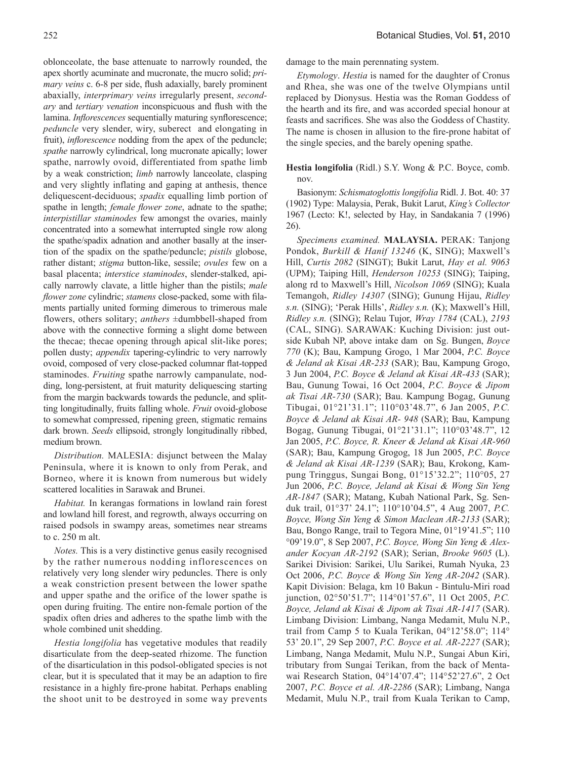oblonceolate, the base attenuate to narrowly rounded, the apex shortly acuminate and mucronate, the mucro solid; *primary veins* c. 6-8 per side, flush adaxially, barely prominent abaxially, *interprimary veins* irregularly present, *secondary* and *tertiary venation* inconspicuous and flush with the lamina. *Inflorescences* sequentially maturing synflorescence; *peduncle* very slender, wiry, suberect and elongating in fruit), *inflorescence* nodding from the apex of the peduncle; *spathe* narrowly cylindrical, long mucronate apically; lower spathe, narrowly ovoid, differentiated from spathe limb by a weak constriction; *limb* narrowly lanceolate, clasping and very slightly inflating and gaping at anthesis, thence deliquescent-deciduous; *spadix* equalling limb portion of spathe in length; *female flower zone*, adnate to the spathe; *interpistillar staminodes* few amongst the ovaries, mainly concentrated into a somewhat interrupted single row along the spathe/spadix adnation and another basally at the insertion of the spadix on the spathe/peduncle; *pistils* globose, rather distant; *stigma* button-like, sessile; *ovules* few on a basal placenta; *interstice staminodes*, slender-stalked, apically narrowly clavate, a little higher than the pistils; *male flower zone* cylindric; *stamens* close-packed, some with filaments partially united forming dimerous to trimerous male flowers, others solitary; *anthers* ±dumbbell-shaped from above with the connective forming a slight dome between the thecae; thecae opening through apical slit-like pores; pollen dusty; *appendix* tapering-cylindric to very narrowly ovoid, composed of very close-packed columnar flat-topped staminodes. *Fruiting* spathe narrowly campanulate, nodding, long-persistent, at fruit maturity deliquescing starting from the margin backwards towards the peduncle, and splitting longitudinally, fruits falling whole. *Fruit* ovoid-globose to somewhat compressed, ripening green, stigmatic remains dark brown. *Seeds* ellipsoid, strongly longitudinally ribbed, medium brown.

*Distribution.* MALESIA: disjunct between the Malay Peninsula, where it is known to only from Perak, and Borneo, where it is known from numerous but widely scattered localities in Sarawak and Brunei.

*Habitat.* In kerangas formations in lowland rain forest and lowland hill forest, and regrowth, always occurring on raised podsols in swampy areas, sometimes near streams to c. 250 m alt.

*Notes.* This is a very distinctive genus easily recognised by the rather numerous nodding inflorescences on relatively very long slender wiry peduncles. There is only a weak constriction present between the lower spathe and upper spathe and the orifice of the lower spathe is open during fruiting. The entire non-female portion of the spadix often dries and adheres to the spathe limb with the whole combined unit shedding.

*Hestia longifolia* has vegetative modules that readily disarticulate from the deep-seated rhizome. The function of the disarticulation in this podsol-obligated species is not clear, but it is speculated that it may be an adaption to fire resistance in a highly fire-prone habitat. Perhaps enabling the shoot unit to be destroyed in some way prevents damage to the main perennating system.

*Etymology*. *Hestia* is named for the daughter of Cronus and Rhea, she was one of the twelve Olympians until replaced by Dionysus. Hestia was the Roman Goddess of the hearth and its fire, and was accorded special honour at feasts and sacrifices. She was also the Goddess of Chastity. The name is chosen in allusion to the fire-prone habitat of the single species, and the barely opening spathe.

**Hestia longifolia** (Ridl.) S.Y. Wong & P.C. Boyce, comb. nov.

Basionym: *Schismatoglottis longifolia* Ridl. J. Bot. 40: 37 (1902) Type: Malaysia, Perak, Bukit Larut, *King's Collector* 1967 (Lecto: K!, selected by Hay, in Sandakania 7 (1996) 26).

*Specimens examined.* **MALAYSIA.** PERAK: Tanjong Pondok, *Burkill & Hanif 13246* (K, SING); Maxwell's Hill, *Curtis 2082* (SINGT); Bukit Larut, *Hay et al. 9063*  (UPM); Taiping Hill, *Henderson 10253* (SING); Taiping, along rd to Maxwell's Hill, *Nicolson 1069* (SING); Kuala Temangoh, *Ridley 14307* (SING); Gunung Hijau, *Ridley s.n.* (SING); 'Perak Hills', *Ridley s.n.* (K); Maxwell's Hill, *Ridley s.n.* (SING); Relau Tujor, *Wray 1784* (CAL), *2193*  (CAL, SING). SARAWAK: Kuching Division: just outside Kubah NP, above intake dam on Sg. Bungen, *Boyce 770* (K); Bau, Kampung Grogo, 1 Mar 2004, *P.C. Boyce & Jeland ak Kisai AR-233* (SAR); Bau, Kampung Grogo, 3 Jun 2004, *P.C. Boyce & Jeland ak Kisai AR-433* (SAR); Bau, Gunung Towai, 16 Oct 2004, *P.C. Boyce & Jipom ak Tisai AR-730* (SAR); Bau. Kampung Bogag, Gunung Tibugai, 01°21'31.1"; 110°03'48.7", 6 Jan 2005, *P.C. Boyce & Jeland ak Kisai AR- 948* (SAR); Bau, Kampung Bogag, Gunung Tibugai, 01°21'31.1"; 110°03'48.7", 12 Jan 2005, *P.C. Boyce, R. Kneer & Jeland ak Kisai AR-960* (SAR); Bau, Kampung Grogog, 18 Jun 2005, *P.C. Boyce & Jeland ak Kisai AR-1239* (SAR); Bau, Krokong, Kampung Tringgus, Sungai Bong, 01°15'32.2"; 110°05, 27 Jun 2006, *P.C. Boyce, Jeland ak Kisai & Wong Sin Yeng AR-1847* (SAR); Matang, Kubah National Park, Sg. Senduk trail, 01°37' 24.1"; 110°10'04.5", 4 Aug 2007, *P.C. Boyce, Wong Sin Yeng & Simon Maclean AR-2133* (SAR); Bau, Bongo Range, trail to Tegora Mine, 01°19'41.5"; 110 °09'19.0", 8 Sep 2007, *P.C. Boyce, Wong Sin Yeng & Alexander Kocyan AR-2192* (SAR); Serian, *Brooke 9605* (L). Sarikei Division: Sarikei, Ulu Sarikei, Rumah Nyuka, 23 Oct 2006, *P.C. Boyce & Wong Sin Yeng AR-2042* (SAR). Kapit Division: Belaga, km 10 Bakun - Bintulu-Miri road junction, 02°50'51.7"; 114°01'57.6", 11 Oct 2005, *P.C. Boyce, Jeland ak Kisai & Jipom ak Tisai AR-1417* (SAR). Limbang Division: Limbang, Nanga Medamit, Mulu N.P., trail from Camp 5 to Kuala Terikan, 04°12'58.0"; 114° 53' 20.1", 29 Sep 2007, *P.C. Boyce et al. AR-2227* (SAR); Limbang, Nanga Medamit, Mulu N.P., Sungai Abun Kiri, tributary from Sungai Terikan, from the back of Mentawai Research Station, 04°14'07.4"; 114°52'27.6", 2 Oct 2007, *P.C. Boyce et al. AR-2286* (SAR); Limbang, Nanga Medamit, Mulu N.P., trail from Kuala Terikan to Camp,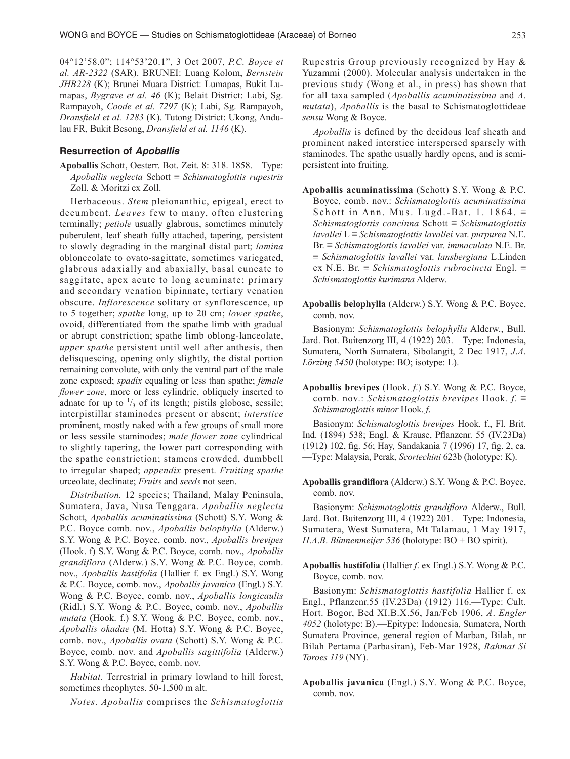04°12'58.0"; 114°53'20.1", 3 Oct 2007, *P.C. Boyce et al. AR-2322* (SAR). BRUNEI: Luang Kolom, *Bernstein JHB228* (K); Brunei Muara District: Lumapas, Bukit Lumapas, *Bygrave et al. 46* (K); Belait District: Labi, Sg. Rampayoh, *Coode et al. 7297* (K); Labi, Sg. Rampayoh, *Dransfield et al. 1283* (K). Tutong District: Ukong, Andulau FR, Bukit Besong, *Dransfield et al. 1146* (K).

#### **Resurrection of** *Apoballis*

**Apoballis** Schott, Oesterr. Bot. Zeit. 8: 318. 1858.—Type: *Apoballis neglecta* Schott ≡ *Schismatoglottis rupestris*  Zoll. & Moritzi ex Zoll.

Herbaceous. *Stem* pleionanthic, epigeal, erect to decumbent. *Leaves* few to many, often clustering terminally; *petiole* usually glabrous, sometimes minutely puberulent, leaf sheath fully attached, tapering, persistent to slowly degrading in the marginal distal part; *lamina* oblonceolate to ovato-sagittate, sometimes variegated, glabrous adaxially and abaxially, basal cuneate to saggitate, apex acute to long acuminate; primary and secondary venation bipinnate, tertiary venation obscure. *Inflorescence* solitary or synflorescence, up to 5 together; *spathe* long, up to 20 cm; *lower spathe*, ovoid, differentiated from the spathe limb with gradual or abrupt constriction; spathe limb oblong-lanceolate, *upper spathe* persistent until well after anthesis, then delisquescing, opening only slightly, the distal portion remaining convolute, with only the ventral part of the male zone exposed; *spadix* equaling or less than spathe; *female flower zone*, more or less cylindric, obliquely inserted to adnate for up to  $\frac{1}{3}$  of its length; pistils globose, sessile; interpistillar staminodes present or absent; *interstice* prominent, mostly naked with a few groups of small more or less sessile staminodes; *male flower zone* cylindrical to slightly tapering, the lower part corresponding with the spathe constriction; stamens crowded, dumbbell to irregular shaped; *appendix* present. *Fruiting spathe*  urceolate, declinate; *Fruits* and *seeds* not seen.

*Distribution.* 12 species; Thailand, Malay Peninsula, Sumatera, Java, Nusa Tenggara. *Apoballis neglecta*  Schott, *Apoballis acuminatissima* (Schott) S.Y. Wong & P.C. Boyce comb. nov., *Apoballis belophylla* (Alderw.) S.Y. Wong & P.C. Boyce, comb. nov., *Apoballis brevipes* (Hook. f) S.Y. Wong & P.C. Boyce, comb. nov., *Apoballis grandiflora* (Alderw.) S.Y. Wong & P.C. Boyce, comb. nov., *Apoballis hastifolia* (Hallier f. ex Engl.) S.Y. Wong & P.C. Boyce, comb. nov., *Apoballis javanica* (Engl.) S.Y. Wong & P.C. Boyce, comb. nov., *Apoballis longicaulis* (Ridl.) S.Y. Wong & P.C. Boyce, comb. nov., *Apoballis mutata* (Hook. f.) S.Y. Wong & P.C. Boyce, comb. nov., *Apoballis okadae* (M. Hotta) S.Y. Wong & P.C. Boyce, comb. nov., *Apoballis ovata* (Schott) S.Y. Wong & P.C. Boyce, comb. nov. and *Apoballis sagittifolia* (Alderw.) S.Y. Wong & P.C. Boyce, comb. nov.

*Habitat.* Terrestrial in primary lowland to hill forest, sometimes rheophytes. 50-1,500 m alt.

*Notes. Apoballis* comprises the *Schismatoglottis*

Rupestris Group previously recognized by Hay & Yuzammi (2000). Molecular analysis undertaken in the previous study (Wong et al., in press) has shown that for all taxa sampled (*Apoballis acuminatissima* and *A*. *mutata*), *Apoballis* is the basal to Schismatoglottideae *sensu* Wong & Boyce.

*Apoballis* is defined by the decidous leaf sheath and prominent naked interstice interspersed sparsely with staminodes. The spathe usually hardly opens, and is semipersistent into fruiting.

- **Apoballis acuminatissima** (Schott) S.Y. Wong & P.C. Boyce, comb. nov.: *Schismatoglottis acuminatissima* S chott in Ann. Mus. Lugd.-Bat. 1. 1864.  $\equiv$ *Schismatoglottis concinna* Schott ≡ *Schismatoglottis lavallei* L ≡ *Schismatoglottis lavallei* var. *purpurea* N.E. Br. ≡ *Schismatoglottis lavallei* var. *immaculata* N.E. Br. ≡ *Schismatoglottis lavallei* var. *lansbergiana* L.Linden ex N.E. Br. ≡ *Schismatoglottis rubrocincta* Engl. ≡ *Schismatoglottis kurimana* Alderw.
- **Apoballis belophylla** (Alderw.) S.Y. Wong & P.C. Boyce, comb. nov.

Basionym: *Schismatoglottis belophylla* Alderw., Bull. Jard. Bot. Buitenzorg III, 4 (1922) 203.—Type: Indonesia, Sumatera, North Sumatera, Sibolangit, 2 Dec 1917, *J*.*A*. *Lörzing 5450* (holotype: BO; isotype: L).

**Apoballis brevipes** (Hook. *f*.) S.Y. Wong & P.C. Boyce, comb. nov.: *Schismatoglottis brevipes* Hook. *f*. ≡ *Schismatoglottis minor* Hook. *f*.

Basionym: *Schismatoglottis brevipes* Hook. f., Fl. Brit. Ind. (1894) 538; Engl. & Krause, Pflanzenr. 55 (IV.23Da) (1912) 102, fig. 56; Hay, Sandakania 7 (1996) 17, fig. 2, ca. —Type: Malaysia, Perak, *Scortechini* 623b (holotype: K).

**Apoballis grandiflora** (Alderw.) S.Y. Wong & P.C. Boyce, comb. nov.

Basionym: *Schismatoglottis grandiflora* Alderw., Bull. Jard. Bot. Buitenzorg III, 4 (1922) 201.—Type: Indonesia, Sumatera, West Sumatera, Mt Talamau, 1 May 1917, *H*.*A*.*B*. *Bünnenmeijer 536* (holotype: BO + BO spirit).

**Apoballis hastifolia** (Hallier *f*. ex Engl.) S.Y. Wong & P.C. Boyce, comb. nov.

Basionym: *Schismatoglottis hastifolia* Hallier f. ex Engl., Pflanzenr.55 (IV.23Da) (1912) 116.—Type: Cult. Hort. Bogor, Bed XI.B.X.56, Jan/Feb 1906, *A*. *Engler 4052* (holotype: B).—Epitype: Indonesia, Sumatera, North Sumatera Province, general region of Marban, Bilah, nr Bilah Pertama (Parbasiran), Feb-Mar 1928, *Rahmat Si Toroes 119* (NY).

**Apoballis javanica** (Engl.) S.Y. Wong & P.C. Boyce, comb. nov.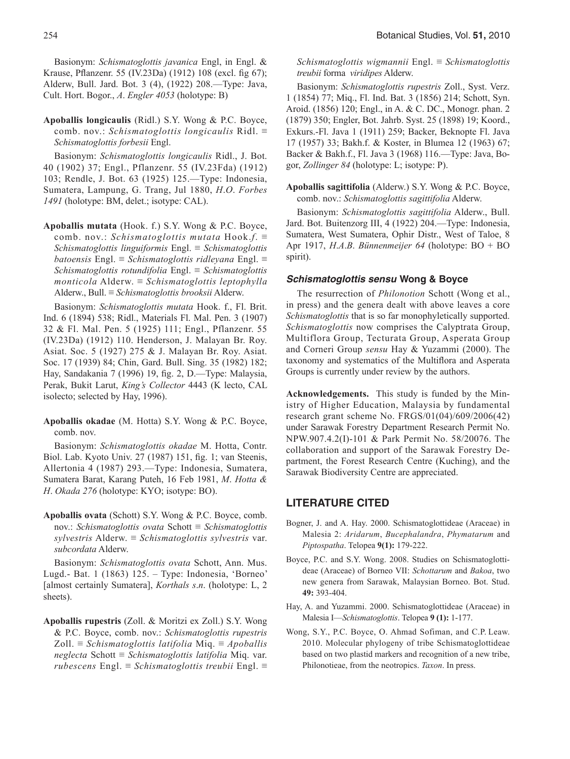Basionym: *Schismatoglottis javanica* Engl, in Engl. & Krause, Pflanzenr. 55 (IV.23Da) (1912) 108 (excl. fig 67); Alderw, Bull. Jard. Bot. 3 (4), (1922) 208.—Type: Java, Cult. Hort. Bogor., *A*. *Engler 4053* (holotype: B)

**Apoballis longicaulis** (Ridl.) S.Y. Wong & P.C. Boyce, comb. nov.: *Schismatoglottis longicaulis* Ridl. ≡ *Schismatoglottis forbesii* Engl.

Basionym: *Schismatoglottis longicaulis* Ridl., J. Bot. 40 (1902) 37; Engl., Pflanzenr. 55 (IV.23Fda) (1912) 103; Rendle, J. Bot. 63 (1925) 125.—Type: Indonesia, Sumatera, Lampung, G. Trang, Jul 1880, *H*.*O*. *Forbes 1491* (holotype: BM, delet.; isotype: CAL).

**Apoballis mutata** (Hook. f.) S.Y. Wong & P.C. Boyce, comb. nov.: *Schismatoglottis mutata* Hook.*f*. ≡ *Schismatoglottis linguiformis* Engl. ≡ *Schismatoglottis batoensis* Engl. ≡ *Schismatoglottis ridleyana* Engl. ≡ *Schismatoglottis rotundifolia* Engl. ≡ *Schismatoglottis monticola* Alderw. ≡ *Schismatoglottis leptophylla* Alderw., Bull. ≡ *Schismatoglottis brooksii* Alderw.

Basionym: *Schismatoglottis mutata* Hook. f., Fl. Brit. Ind. 6 (1894) 538; Ridl., Materials Fl. Mal. Pen. 3 (1907) 32 & Fl. Mal. Pen. 5 (1925) 111; Engl., Pflanzenr. 55 (IV.23Da) (1912) 110. Henderson, J. Malayan Br. Roy. Asiat. Soc. 5 (1927) 275 & J. Malayan Br. Roy. Asiat. Soc. 17 (1939) 84; Chin, Gard. Bull. Sing. 35 (1982) 182; Hay, Sandakania 7 (1996) 19, fig. 2, D.—Type: Malaysia, Perak, Bukit Larut, *King's Collector* 4443 (K lecto, CAL isolecto; selected by Hay, 1996).

**Apoballis okadae** (M. Hotta) S.Y. Wong & P.C. Boyce, comb. nov.

Basionym: *Schismatoglottis okadae* M. Hotta, Contr. Biol. Lab. Kyoto Univ. 27 (1987) 151, fig. 1; van Steenis, Allertonia 4 (1987) 293.—Type: Indonesia, Sumatera, Sumatera Barat, Karang Puteh, 16 Feb 1981, *M*. *Hotta & H*. *Okada 276* (holotype: KYO; isotype: BO).

**Apoballis ovata** (Schott) S.Y. Wong & P.C. Boyce, comb. nov.: *Schismatoglottis ovata* Schott ≡ *Schismatoglottis sylvestris* Alderw. ≡ *Schismatoglottis sylvestris* var. *subcordata* Alderw.

Basionym: *Schismatoglottis ovata* Schott, Ann. Mus. Lugd.- Bat. 1 (1863) 125. – Type: Indonesia, 'Borneo' [almost certainly Sumatera], *Korthals s*.*n*. (holotype: L, 2 sheets).

**Apoballis rupestris** (Zoll. & Moritzi ex Zoll.) S.Y. Wong & P.C. Boyce, comb. nov.: *Schismatoglottis rupestris* Zoll. ≡ *Schismatoglottis latifolia* Miq. ≡ *Apoballis neglecta* Schott ≡ *Schismatoglottis latifolia* Miq. var. *rubescens* Engl. ≡ *Schismatoglottis treubii* Engl. ≡ *Schismatoglottis wigmannii* Engl. ≡ *Schismatoglottis treubii* forma *viridipes* Alderw.

Basionym: *Schismatoglottis rupestris* Zoll., Syst. Verz. 1 (1854) 77; Miq., Fl. Ind. Bat. 3 (1856) 214; Schott, Syn. Aroid. (1856) 120; Engl., in A. & C. DC., Monogr. phan. 2 (1879) 350; Engler, Bot. Jahrb. Syst. 25 (1898) 19; Koord., Exkurs.-Fl. Java 1 (1911) 259; Backer, Beknopte Fl. Java 17 (1957) 33; Bakh.f. & Koster, in Blumea 12 (1963) 67; Backer & Bakh.f., Fl. Java 3 (1968) 116.—Type: Java, Bogor, *Zollinger 84* (holotype: L; isotype: P).

**Apoballis sagittifolia** (Alderw.) S.Y. Wong & P.C. Boyce, comb. nov.: *Schismatoglottis sagittifolia* Alderw.

Basionym: *Schismatoglottis sagittifolia* Alderw., Bull. Jard. Bot. Buitenzorg III, 4 (1922) 204.—Type: Indonesia, Sumatera, West Sumatera, Ophir Distr., West of Taloe, 8 Apr 1917, *H*.*A*.*B*. *Bünnenmeijer 64* (holotype: BO + BO spirit).

### *Schismatoglottis sensu* **Wong & Boyce**

The resurrection of *Philonotion* Schott (Wong et al., in press) and the genera dealt with above leaves a core *Schismatoglottis* that is so far monophyletically supported. *Schismatoglottis* now comprises the Calyptrata Group, Multiflora Group, Tecturata Group, Asperata Group and Corneri Group *sensu* Hay & Yuzammi (2000). The taxonomy and systematics of the Multiflora and Asperata Groups is currently under review by the authors.

**Acknowledgements.** This study is funded by the Ministry of Higher Education, Malaysia by fundamental research grant scheme No. FRGS/01(04)/609/2006(42) under Sarawak Forestry Department Research Permit No. NPW.907.4.2(I)-101 & Park Permit No. 58/20076. The collaboration and support of the Sarawak Forestry Department, the Forest Research Centre (Kuching), and the Sarawak Biodiversity Centre are appreciated.

#### **LITERATURE CITED**

- Bogner, J. and A. Hay. 2000. Schismatoglottideae (Araceae) in Malesia 2: *Aridarum*, *Bucephalandra*, *Phymatarum* and *Piptospatha*. Telopea **9(1):** 179-222.
- Boyce, P.C. and S.Y. Wong. 2008. Studies on Schismatoglottideae (Araceae) of Borneo VII: *Schottarum* and *Bakoa*, two new genera from Sarawak, Malaysian Borneo. Bot. Stud. **49:** 393-404.
- Hay, A. and Yuzammi. 2000. Schismatoglottideae (Araceae) in Malesia I—*Schismatoglottis*. Telopea **9 (1):** 1-177.
- Wong, S.Y., P.C. Boyce, O. Ahmad Sofiman, and C.P. Leaw. 2010. Molecular phylogeny of tribe Schismatoglottideae based on two plastid markers and recognition of a new tribe, Philonotieae, from the neotropics. *Taxon*. In press.